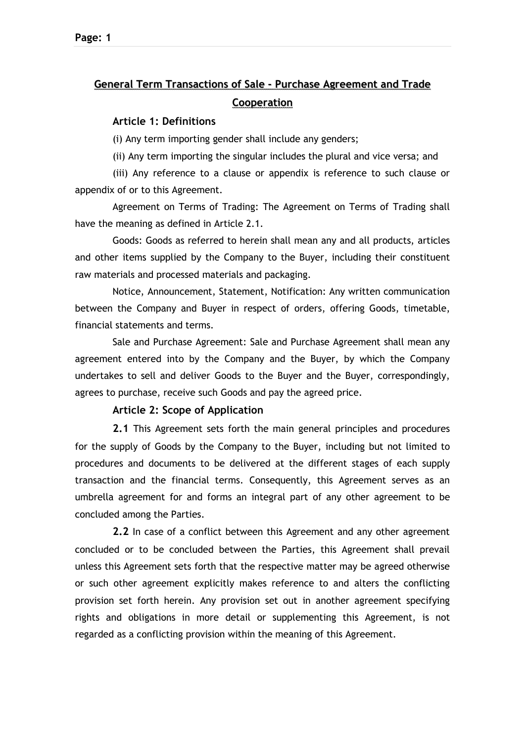# **General Term Transactions of Sale - Purchase Agreement and Trade Cooperation**

## **Article 1: Definitions**

(i) Any term importing gender shall include any genders;

(ii) Any term importing the singular includes the plural and vice versa; and

(iii) Any reference to a clause or appendix is reference to such clause or appendix of or to this Agreement.

Agreement on Terms of Trading: The Agreement on Terms of Trading shall have the meaning as defined in Article 2.1.

Goods: Goods as referred to herein shall mean any and all products, articles and other items supplied by the Company to the Buyer, including their constituent raw materials and processed materials and packaging.

Νotice, Announcement, Statement, Notification: Any written communication between the Company and Buyer in respect of orders, offering Goods, timetable, financial statements and terms.

Sale and Purchase Agreement: Sale and Purchase Agreement shall mean any agreement entered into by the Company and the Buyer, by which the Company undertakes to sell and deliver Goods to the Buyer and the Buyer, correspondingly, agrees to purchase, receive such Goods and pay the agreed price.

# **Article 2: Scope of Application**

**2.1** This Agreement sets forth the main general principles and procedures for the supply of Goods by the Company to the Buyer, including but not limited to procedures and documents to be delivered at the different stages of each supply transaction and the financial terms. Consequently, this Agreement serves as an umbrella agreement for and forms an integral part of any other agreement to be concluded among the Parties.

**2.2** In case of a conflict between this Agreement and any other agreement concluded or to be concluded between the Parties, this Agreement shall prevail unless this Agreement sets forth that the respective matter may be agreed otherwise or such other agreement explicitly makes reference to and alters the conflicting provision set forth herein. Any provision set out in another agreement specifying rights and obligations in more detail or supplementing this Agreement, is not regarded as a conflicting provision within the meaning of this Agreement.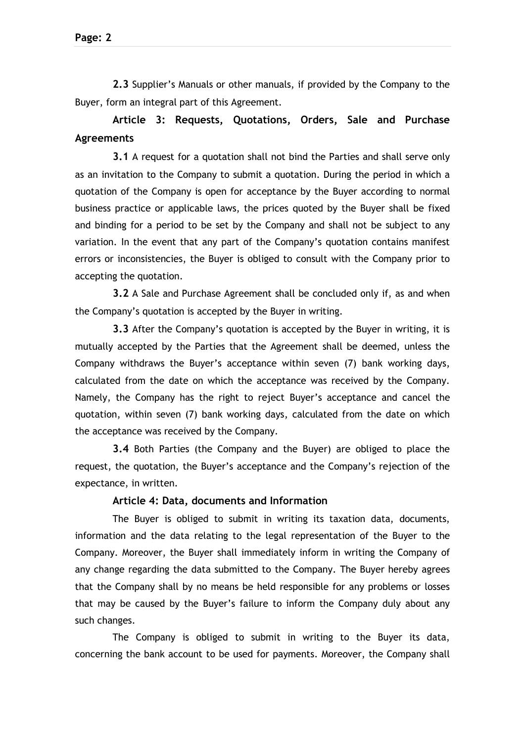**2.3** Supplier's Manuals or other manuals, if provided by the Company to the Buyer, form an integral part of this Agreement.

# **Article 3: Requests, Quotations, Orders, Sale and Purchase Agreements**

**3.1** A request for a quotation shall not bind the Parties and shall serve only as an invitation to the Company to submit a quotation. During the period in which a quotation of the Company is open for acceptance by the Buyer according to normal business practice or applicable laws, the prices quoted by the Buyer shall be fixed and binding for a period to be set by the Company and shall not be subject to any variation. In the event that any part of the Company's quotation contains manifest errors or inconsistencies, the Buyer is obliged to consult with the Company prior to accepting the quotation.

**3.2** A Sale and Purchase Agreement shall be concluded only if, as and when the Company's quotation is accepted by the Buyer in writing.

**3.3** After the Company's quotation is accepted by the Buyer in writing, it is mutually accepted by the Parties that the Agreement shall be deemed, unless the Company withdraws the Buyer's acceptance within seven (7) bank working days, calculated from the date on which the acceptance was received by the Company. Namely, the Company has the right to reject Buyer's acceptance and cancel the quotation, within seven (7) bank working days, calculated from the date on which the acceptance was received by the Company.

**3.4** Both Parties (the Company and the Buyer) are obliged to place the request, the quotation, the Buyer's acceptance and the Company's rejection of the expectance, in written.

## **Article 4: Data, documents and Information**

The Buyer is obliged to submit in writing its taxation data, documents, information and the data relating to the legal representation of the Buyer to the Company. Moreover, the Buyer shall immediately inform in writing the Company of any change regarding the data submitted to the Company. The Buyer hereby agrees that the Company shall by no means be held responsible for any problems or losses that may be caused by the Buyer's failure to inform the Company duly about any such changes.

The Company is obliged to submit in writing to the Buyer its data, concerning the bank account to be used for payments. Moreover, the Company shall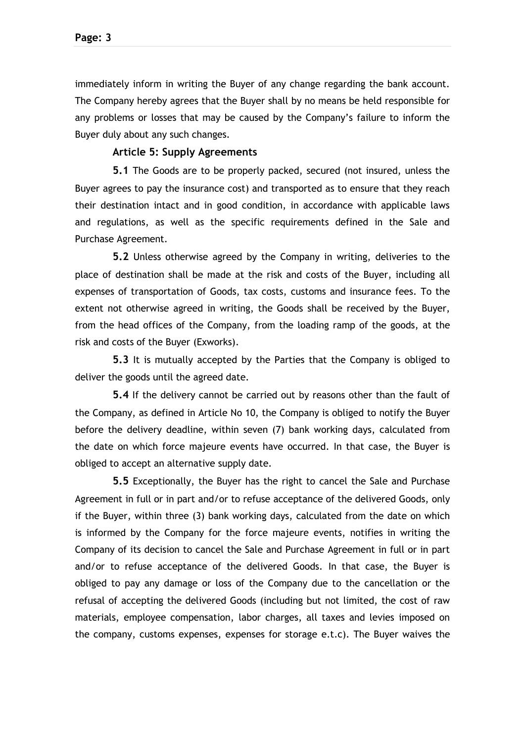immediately inform in writing the Buyer of any change regarding the bank account. The Company hereby agrees that the Buyer shall by no means be held responsible for any problems or losses that may be caused by the Company's failure to inform the Buyer duly about any such changes.

## **Article 5: Supply Agreements**

**5.1** The Goods are to be properly packed, secured (not insured, unless the Buyer agrees to pay the insurance cost) and transported as to ensure that they reach their destination intact and in good condition, in accordance with applicable laws and regulations, as well as the specific requirements defined in the Sale and Purchase Agreement.

**5.2** Unless otherwise agreed by the Company in writing, deliveries to the place of destination shall be made at the risk and costs of the Buyer, including all expenses of transportation of Goods, tax costs, customs and insurance fees. To the extent not otherwise agreed in writing, the Goods shall be received by the Buyer, from the head offices of the Company, from the loading ramp of the goods, at the risk and costs of the Buyer (Exworks).

**5.3** It is mutually accepted by the Parties that the Company is obliged to deliver the goods until the agreed date.

**5.4** If the delivery cannot be carried out by reasons other than the fault of the Company, as defined in Article No 10, the Company is obliged to notify the Buyer before the delivery deadline, within seven (7) bank working days, calculated from the date on which force majeure events have occurred. In that case, the Buyer is obliged to accept an alternative supply date.

**5.5** Exceptionally, the Buyer has the right to cancel the Sale and Purchase Agreement in full or in part and/or to refuse acceptance of the delivered Goods, only if the Buyer, within three (3) bank working days, calculated from the date on which is informed by the Company for the force majeure events, notifies in writing the Company of its decision to cancel the Sale and Purchase Agreement in full or in part and/or to refuse acceptance of the delivered Goods. In that case, the Buyer is obliged to pay any damage or loss of the Company due to the cancellation or the refusal of accepting the delivered Goods (including but not limited, the cost of raw materials, employee compensation, labor charges, all taxes and levies imposed on the company, customs expenses, expenses for storage e.t.c). The Buyer waives the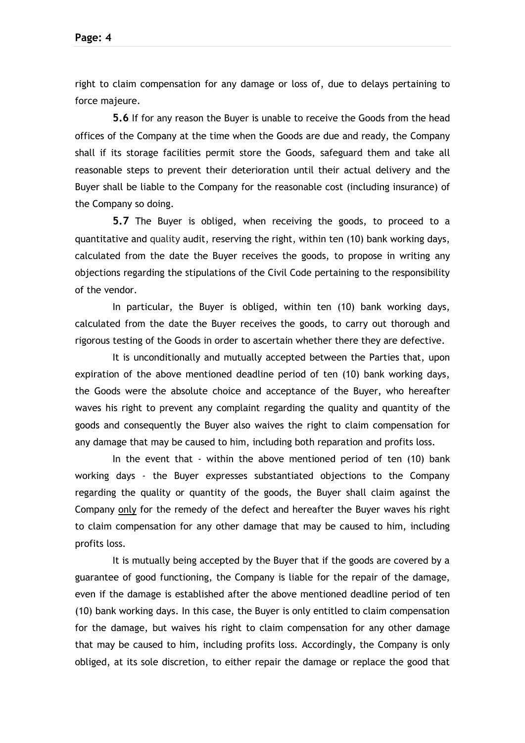right to claim compensation for any damage or loss of, due to delays pertaining to force majeure.

**5.6** If for any reason the Buyer is unable to receive the Goods from the head offices of the Company at the time when the Goods are due and ready, the Company shall if its storage facilities permit store the Goods, safeguard them and take all reasonable steps to prevent their deterioration until their actual delivery and the Buyer shall be liable to the Company for the reasonable cost (including insurance) of the Company so doing.

**5.7** The Buyer is obliged, when receiving the goods, to proceed to a quantitative and quality audit, reserving the right, within ten (10) bank working days, calculated from the date the Buyer receives the goods, to propose in writing any objections regarding the stipulations of the Civil Code pertaining to the responsibility of the vendor.

In particular, the Buyer is obliged, within ten (10) bank working days, calculated from the date the Buyer receives the goods, to carry out thorough and rigorous testing of the Goods in order to ascertain whether there they are defective.

It is unconditionally and mutually accepted between the Parties that, upon expiration of the above mentioned deadline period of ten (10) bank working days, the Goods were the absolute choice and acceptance of the Buyer, who hereafter waves his right to prevent any complaint regarding the quality and quantity of the goods and consequently the Buyer also waives the right to claim compensation for any damage that may be caused to him, including both reparation and profits loss.

In the event that - within the above mentioned period of ten (10) bank working days - the Buyer expresses substantiated objections to the Company regarding the quality or quantity of the goods, the Buyer shall claim against the Company only for the remedy of the defect and hereafter the Buyer waves his right to claim compensation for any other damage that may be caused to him, including profits loss.

It is mutually being accepted by the Buyer that if the goods are covered by a guarantee of good functioning, the Company is liable for the repair of the damage, even if the damage is established after the above mentioned deadline period of ten (10) bank working days. In this case, the Buyer is only entitled to claim compensation for the damage, but waives his right to claim compensation for any other damage that may be caused to him, including profits loss. Accordingly, the Company is only obliged, at its sole discretion, to either repair the damage or replace the good that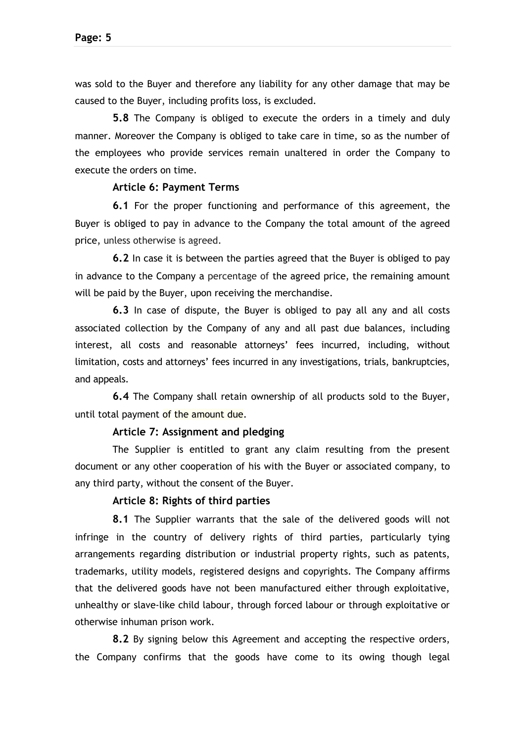was sold to the Buyer and therefore any liability for any other damage that may be caused to the Buyer, including profits loss, is excluded.

**5.8** The Company is obliged to execute the orders in a timely and duly manner. Moreover the Company is obliged to take care in time, so as the number of the employees who provide services remain unaltered in order the Company to execute the orders on time.

#### **Article 6: Payment Terms**

**6.1** For the proper functioning and performance of this agreement, the Buyer is obliged to pay in advance to the Company the total amount of the agreed price, unless otherwise is agreed.

**6.2** In case it is between the parties agreed that the Buyer is obliged to pay in advance to the Company a percentage of the agreed price, the remaining amount will be paid by the Buyer, upon receiving the merchandise.

**6.3** In case of dispute, the Buyer is obliged to pay all any and all costs associated collection by the Company of any and all past due balances, including interest, all costs and reasonable attorneys' fees incurred, including, without limitation, costs and attorneys' fees incurred in any investigations, trials, bankruptcies, and appeals.

**6.4** The Company shall retain ownership of all products sold to the Buyer, until total payment of the amount due.

#### **Article 7: Assignment and pledging**

The Supplier is entitled to grant any claim resulting from the present document or any other cooperation of his with the Buyer or associated company, to any third party, without the consent of the Buyer.

## **Article 8: Rights of third parties**

**8.1** The Supplier warrants that the sale of the delivered goods will not infringe in the country of delivery rights of third parties, particularly tying arrangements regarding distribution or industrial property rights, such as patents, trademarks, utility models, registered designs and copyrights. The Company affirms that the delivered goods have not been manufactured either through exploitative, unhealthy or slave-like child labour, through forced labour or through exploitative or otherwise inhuman prison work.

**8.2** By signing below this Agreement and accepting the respective orders, the Company confirms that the goods have come to its owing though legal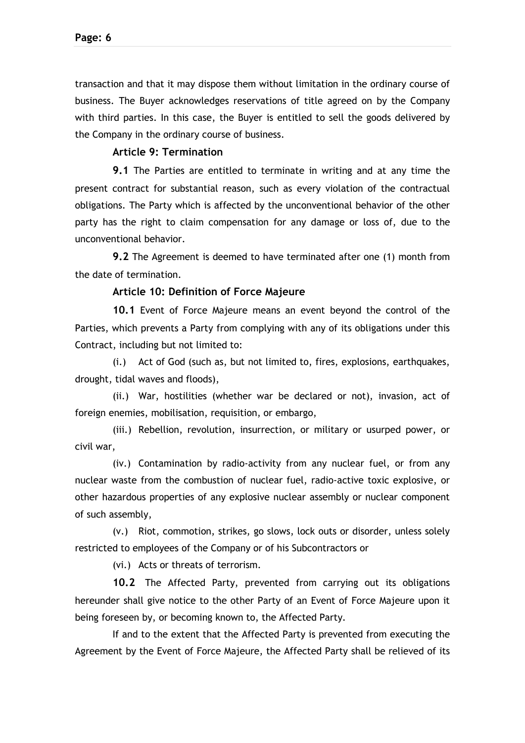transaction and that it may dispose them without limitation in the ordinary course of business. The Buyer acknowledges reservations of title agreed on by the Company with third parties. In this case, the Buyer is entitled to sell the goods delivered by the Company in the ordinary course of business.

## **Article 9: Termination**

**9.1** The Parties are entitled to terminate in writing and at any time the present contract for substantial reason, such as every violation of the contractual obligations. The Party which is affected by the unconventional behavior of the other party has the right to claim compensation for any damage or loss of, due to the unconventional behavior.

**9.2** The Agreement is deemed to have terminated after one (1) month from the date of termination.

#### **Article 10: Definition of Force Majeure**

**10.1** Event of Force Majeure means an event beyond the control of the Parties, which prevents a Party from complying with any of its obligations under this Contract, including but not limited to:

(i.) Act of God (such as, but not limited to, fires, explosions, earthquakes, drought, tidal waves and floods),

(ii.) War, hostilities (whether war be declared or not), invasion, act of foreign enemies, mobilisation, requisition, or embargo,

(iii.) Rebellion, revolution, insurrection, or military or usurped power, or civil war,

(iv.) Contamination by radio-activity from any nuclear fuel, or from any nuclear waste from the combustion of nuclear fuel, radio-active toxic explosive, or other hazardous properties of any explosive nuclear assembly or nuclear component of such assembly,

(v.) Riot, commotion, strikes, go slows, lock outs or disorder, unless solely restricted to employees of the Company or of his Subcontractors or

(vi.) Acts or threats of terrorism.

**10.2** The Affected Party, prevented from carrying out its obligations hereunder shall give notice to the other Party of an Event of Force Majeure upon it being foreseen by, or becoming known to, the Affected Party.

If and to the extent that the Affected Party is prevented from executing the Agreement by the Event of Force Majeure, the Affected Party shall be relieved of its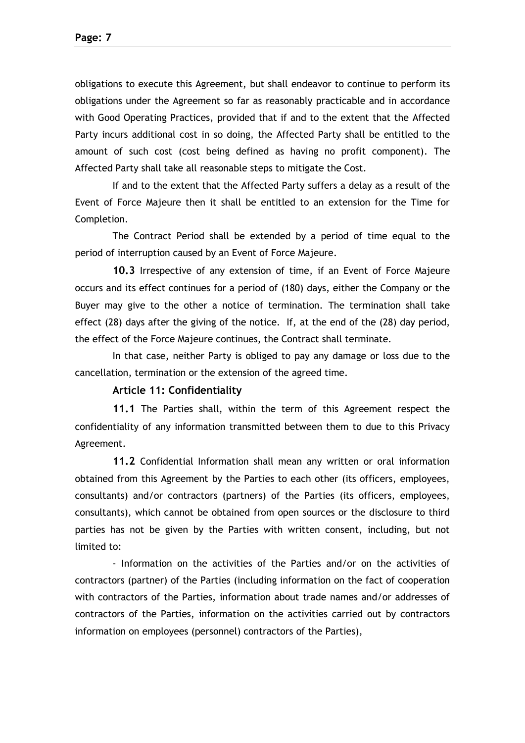obligations to execute this Agreement, but shall endeavor to continue to perform its obligations under the Agreement so far as reasonably practicable and in accordance with Good Operating Practices, provided that if and to the extent that the Affected Party incurs additional cost in so doing, the Affected Party shall be entitled to the amount of such cost (cost being defined as having no profit component). The Affected Party shall take all reasonable steps to mitigate the Cost.

If and to the extent that the Affected Party suffers a delay as a result of the Event of Force Majeure then it shall be entitled to an extension for the Time for Completion.

The Contract Period shall be extended by a period of time equal to the period of interruption caused by an Event of Force Majeure.

**10.3** Irrespective of any extension of time, if an Event of Force Majeure occurs and its effect continues for a period of (180) days, either the Company or the Buyer may give to the other a notice of termination. The termination shall take effect (28) days after the giving of the notice. If, at the end of the (28) day period, the effect of the Force Majeure continues, the Contract shall terminate.

In that case, neither Party is obliged to pay any damage or loss due to the cancellation, termination or the extension of the agreed time.

#### **Article 11: Confidentiality**

**11.1** The Parties shall, within the term of this Agreement respect the confidentiality of any information transmitted between them to due to this Privacy Agreement.

**11.2** Confidential Information shall mean any written or oral information obtained from this Agreement by the Parties to each other (its officers, employees, consultants) and/or contractors (partners) of the Parties (its officers, employees, consultants), which cannot be obtained from open sources or the disclosure to third parties has not be given by the Parties with written consent, including, but not limited to:

- Information on the activities of the Parties and/or on the activities of contractors (partner) of the Parties (including information on the fact of cooperation with contractors of the Parties, information about trade names and/or addresses of contractors of the Parties, information on the activities carried out by contractors information on employees (personnel) contractors of the Parties),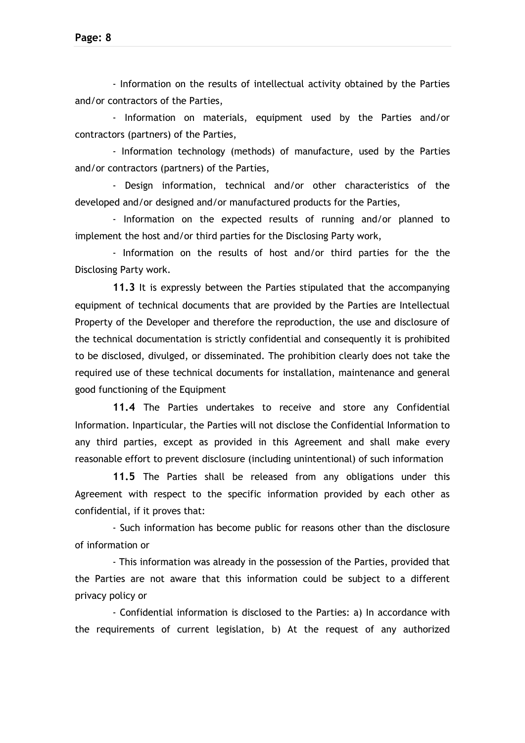- Information on the results of intellectual activity obtained by the Parties and/or contractors of the Parties,

- Information on materials, equipment used by the Parties and/or contractors (partners) of the Parties,

- Information technology (methods) of manufacture, used by the Parties and/or contractors (partners) of the Parties,

- Design information, technical and/or other characteristics of the developed and/or designed and/or manufactured products for the Parties,

- Information on the expected results of running and/or planned to implement the host and/or third parties for the Disclosing Party work,

- Information on the results of host and/or third parties for the the Disclosing Party work.

**11.3** It is expressly between the Parties stipulated that the accompanying equipment of technical documents that are provided by the Parties are Intellectual Property of the Developer and therefore the reproduction, the use and disclosure of the technical documentation is strictly confidential and consequently it is prohibited to be disclosed, divulged, or disseminated. The prohibition clearly does not take the required use of these technical documents for installation, maintenance and general good functioning of the Equipment

**11.4** The Parties undertakes to receive and store any Confidential Information. Inparticular, the Parties will not disclose the Confidential Information to any third parties, except as provided in this Agreement and shall make every reasonable effort to prevent disclosure (including unintentional) of such information

**11.5** The Parties shall be released from any obligations under this Agreement with respect to the specific information provided by each other as confidential, if it proves that:

- Such information has become public for reasons other than the disclosure of information or

- This information was already in the possession of the Parties, provided that the Parties are not aware that this information could be subject to a different privacy policy or

- Confidential information is disclosed to the Parties: a) In accordance with the requirements of current legislation, b) At the request of any authorized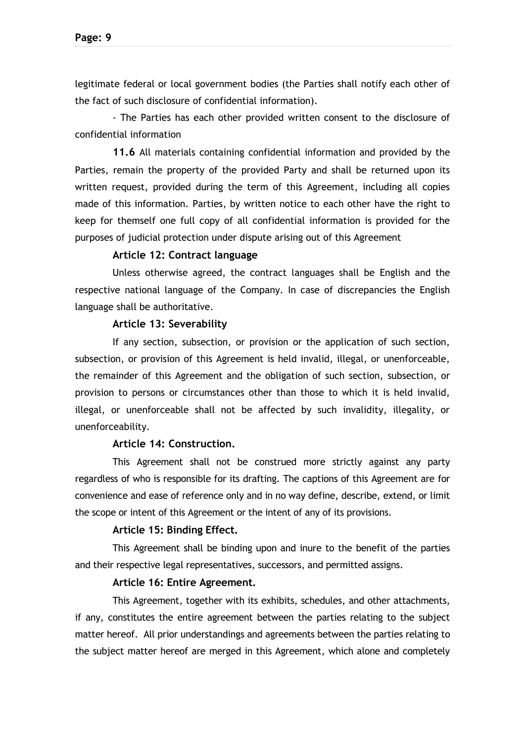legitimate federal or local government bodies (the Parties shall notify each other of the fact of such disclosure of confidential information).

- The Parties has each other provided written consent to the disclosure of confidential information

**11.6** All materials containing confidential information and provided by the Parties, remain the property of the provided Party and shall be returned upon its written request, provided during the term of this Agreement, including all copies made of this information. Parties, by written notice to each other have the right to keep for themself one full copy of all confidential information is provided for the purposes of judicial protection under dispute arising out of this Agreement

## **Article 12: Contract language**

Unless otherwise agreed, the contract languages shall be English and the respective national language of the Company. In case of discrepancies the English language shall be authoritative.

#### **Article 13: Severability**

If any section, subsection, or provision or the application of such section, subsection, or provision of this Agreement is held invalid, illegal, or unenforceable, the remainder of this Agreement and the obligation of such section, subsection, or provision to persons or circumstances other than those to which it is held invalid, illegal, or unenforceable shall not be affected by such invalidity, illegality, or unenforceability.

## **Article 14: Construction.**

This Agreement shall not be construed more strictly against any party regardless of who is responsible for its drafting. The captions of this Agreement are for convenience and ease of reference only and in no way define, describe, extend, or limit the scope or intent of this Agreement or the intent of any of its provisions.

#### **Article 15: Binding Effect.**

This Agreement shall be binding upon and inure to the benefit of the parties and their respective legal representatives, successors, and permitted assigns.

#### **Article 16: Entire Agreement.**

This Agreement, together with its exhibits, schedules, and other attachments, if any, constitutes the entire agreement between the parties relating to the subject matter hereof. All prior understandings and agreements between the parties relating to the subject matter hereof are merged in this Agreement, which alone and completely